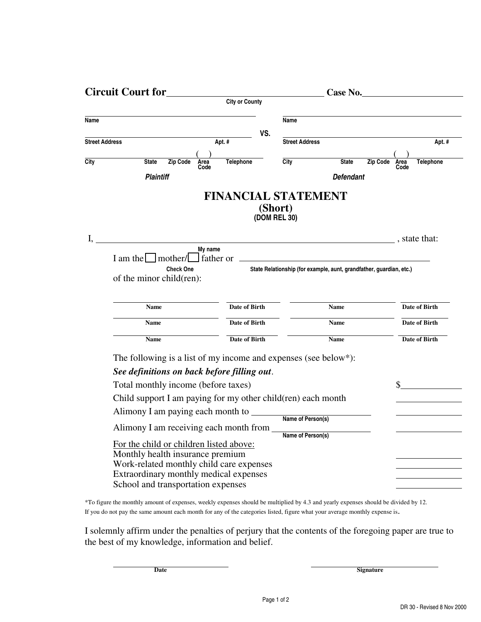| <b>Circuit Court for</b>                                                                                                                                          |                                        |                         |                                                                     | Case No.         |                 |                      |
|-------------------------------------------------------------------------------------------------------------------------------------------------------------------|----------------------------------------|-------------------------|---------------------------------------------------------------------|------------------|-----------------|----------------------|
|                                                                                                                                                                   | <b>City or County</b>                  |                         |                                                                     |                  |                 |                      |
| Name                                                                                                                                                              |                                        |                         | Name                                                                |                  |                 |                      |
|                                                                                                                                                                   |                                        | VS.                     |                                                                     |                  |                 |                      |
| <b>Street Address</b>                                                                                                                                             | Apt. #                                 |                         | <b>Street Address</b>                                               |                  |                 | Apt. #               |
| City<br><b>Zip Code</b><br><b>State</b>                                                                                                                           | Telephone<br>Area                      |                         | City                                                                | <b>State</b>     | <b>Zip Code</b> | <b>Telephone</b>     |
| <b>Plaintiff</b>                                                                                                                                                  | Code                                   |                         |                                                                     | <b>Defendant</b> |                 | Area<br>Code         |
|                                                                                                                                                                   |                                        |                         |                                                                     |                  |                 |                      |
|                                                                                                                                                                   | <b>FINANCIAL STATEMENT</b>             | (Short)<br>(DOM REL 30) |                                                                     |                  |                 |                      |
| I,                                                                                                                                                                | $\overline{\phantom{a}}$ , state that: |                         |                                                                     |                  |                 |                      |
|                                                                                                                                                                   | My name                                |                         |                                                                     |                  |                 |                      |
| $I$ am the $\Box$ mother/ $\Box$ father or                                                                                                                        |                                        |                         | State Relationship (for example, aunt, grandfather, guardian, etc.) |                  |                 |                      |
| <b>Check One</b><br>of the minor child(ren):                                                                                                                      |                                        |                         |                                                                     |                  |                 |                      |
|                                                                                                                                                                   |                                        |                         |                                                                     |                  |                 |                      |
| <b>Name</b>                                                                                                                                                       | <b>Date of Birth</b>                   |                         |                                                                     | <b>Name</b>      |                 | Date of Birth        |
|                                                                                                                                                                   |                                        |                         |                                                                     |                  |                 |                      |
| <b>Name</b>                                                                                                                                                       | <b>Date of Birth</b>                   |                         |                                                                     | <b>Name</b>      |                 | Date of Birth        |
| Name                                                                                                                                                              | <b>Date of Birth</b>                   |                         |                                                                     | <b>Name</b>      |                 | <b>Date of Birth</b> |
| The following is a list of my income and expenses (see below*):                                                                                                   |                                        |                         |                                                                     |                  |                 |                      |
| See definitions on back before filling out.                                                                                                                       |                                        |                         |                                                                     |                  |                 |                      |
| Total monthly income (before taxes)                                                                                                                               |                                        |                         |                                                                     |                  |                 |                      |
| Child support I am paying for my other child(ren) each month                                                                                                      |                                        |                         |                                                                     |                  |                 |                      |
|                                                                                                                                                                   |                                        |                         |                                                                     |                  |                 |                      |
| Alimony I am paying each month to Name of Person(s)                                                                                                               |                                        |                         |                                                                     |                  |                 |                      |
| Alimony I am receiving each month from                                                                                                                            |                                        |                         | Name of Person(s)                                                   |                  |                 |                      |
| For the child or children listed above:<br>Monthly health insurance premium<br>Work-related monthly child care expenses<br>Extraordinary monthly medical expenses |                                        |                         |                                                                     |                  |                 |                      |
| School and transportation expenses                                                                                                                                |                                        |                         |                                                                     |                  |                 |                      |
|                                                                                                                                                                   |                                        |                         |                                                                     |                  |                 |                      |

\*To figure the monthly amount of expenses, weekly expenses should be multiplied by 4.3 and yearly expenses should be divided by 12. If you do not pay the same amount each month for any of the categories listed, figure what your average monthly expense is.

I solemnly affirm under the penalties of perjury that the contents of the foregoing paper are true to the best of my knowledge, information and belief.

**Date** Signature